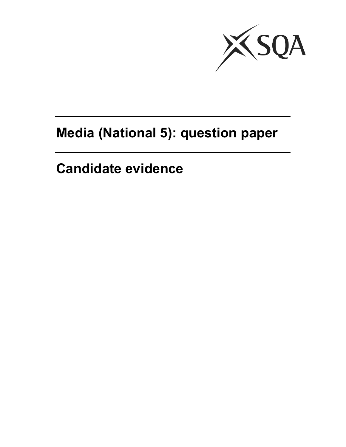

## **Media (National 5): question paper**

**Candidate evidence**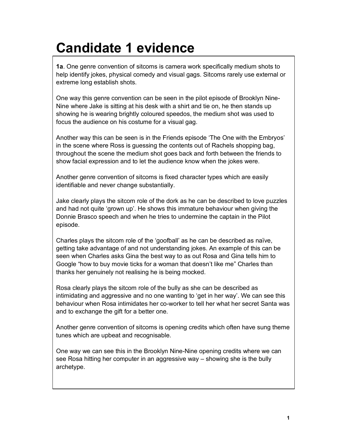## **Candidate 1 evidence**

**1a**. One genre convention of sitcoms is camera work specifically medium shots to help identify jokes, physical comedy and visual gags. Sitcoms rarely use external or extreme long establish shots.

One way this genre convention can be seen in the pilot episode of Brooklyn Nine-Nine where Jake is sitting at his desk with a shirt and tie on, he then stands up showing he is wearing brightly coloured speedos, the medium shot was used to focus the audience on his costume for a visual gag.

Another way this can be seen is in the Friends episode 'The One with the Embryos' in the scene where Ross is guessing the contents out of Rachels shopping bag, throughout the scene the medium shot goes back and forth between the friends to show facial expression and to let the audience know when the jokes were.

Another genre convention of sitcoms is fixed character types which are easily identifiable and never change substantially.

Jake clearly plays the sitcom role of the dork as he can be described to love puzzles and had not quite 'grown up'. He shows this immature behaviour when giving the Donnie Brasco speech and when he tries to undermine the captain in the Pilot episode.

Charles plays the sitcom role of the 'goofball' as he can be described as naïve, getting take advantage of and not understanding jokes. An example of this can be seen when Charles asks Gina the best way to as out Rosa and Gina tells him to Google "how to buy movie ticks for a woman that doesn't like me" Charles than thanks her genuinely not realising he is being mocked.

Rosa clearly plays the sitcom role of the bully as she can be described as intimidating and aggressive and no one wanting to 'get in her way'. We can see this behaviour when Rosa intimidates her co-worker to tell her what her secret Santa was and to exchange the gift for a better one.

Another genre convention of sitcoms is opening credits which often have sung theme tunes which are upbeat and recognisable.

One way we can see this in the Brooklyn Nine-Nine opening credits where we can see Rosa hitting her computer in an aggressive way – showing she is the bully archetype.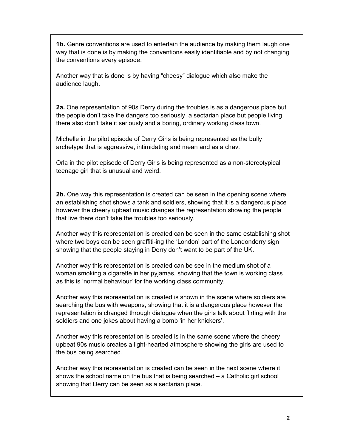**1b.** Genre conventions are used to entertain the audience by making them laugh one way that is done is by making the conventions easily identifiable and by not changing the conventions every episode.

Another way that is done is by having "cheesy" dialogue which also make the audience laugh.

**2a.** One representation of 90s Derry during the troubles is as a dangerous place but the people don't take the dangers too seriously, a sectarian place but people living there also don't take it seriously and a boring, ordinary working class town.

Michelle in the pilot episode of Derry Girls is being represented as the bully archetype that is aggressive, intimidating and mean and as a chav.

Orla in the pilot episode of Derry Girls is being represented as a non-stereotypical teenage girl that is unusual and weird.

**2b.** One way this representation is created can be seen in the opening scene where an establishing shot shows a tank and soldiers, showing that it is a dangerous place however the cheery upbeat music changes the representation showing the people that live there don't take the troubles too seriously.

Another way this representation is created can be seen in the same establishing shot where two boys can be seen graffiti-ing the 'London' part of the Londonderry sign showing that the people staying in Derry don't want to be part of the UK.

Another way this representation is created can be see in the medium shot of a woman smoking a cigarette in her pyjamas, showing that the town is working class as this is 'normal behaviour' for the working class community.

Another way this representation is created is shown in the scene where soldiers are searching the bus with weapons, showing that it is a dangerous place however the representation is changed through dialogue when the girls talk about flirting with the soldiers and one jokes about having a bomb 'in her knickers'.

Another way this representation is created is in the same scene where the cheery upbeat 90s music creates a light-hearted atmosphere showing the girls are used to the bus being searched.

Another way this representation is created can be seen in the next scene where it shows the school name on the bus that is being searched – a Catholic girl school showing that Derry can be seen as a sectarian place.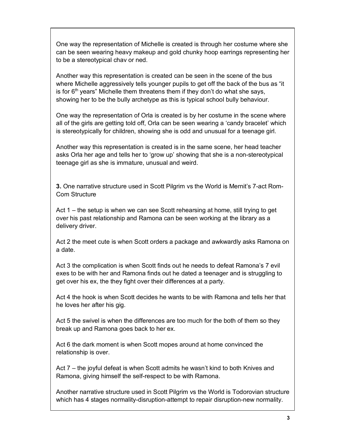One way the representation of Michelle is created is through her costume where she can be seen wearing heavy makeup and gold chunky hoop earrings representing her to be a stereotypical chav or ned.

Another way this representation is created can be seen in the scene of the bus where Michelle aggressively tells younger pupils to get off the back of the bus as "it is for  $6<sup>th</sup>$  years" Michelle them threatens them if they don't do what she says, showing her to be the bully archetype as this is typical school bully behaviour.

One way the representation of Orla is created is by her costume in the scene where all of the girls are getting told off, Orla can be seen wearing a 'candy bracelet' which is stereotypically for children, showing she is odd and unusual for a teenage girl.

Another way this representation is created is in the same scene, her head teacher asks Orla her age and tells her to 'grow up' showing that she is a non-stereotypical teenage girl as she is immature, unusual and weird.

**3.** One narrative structure used in Scott Pilgrim vs the World is Mernit's 7-act Rom-Com Structure

Act 1 – the setup is when we can see Scott rehearsing at home, still trying to get over his past relationship and Ramona can be seen working at the library as a delivery driver.

Act 2 the meet cute is when Scott orders a package and awkwardly asks Ramona on a date.

Act 3 the complication is when Scott finds out he needs to defeat Ramona's 7 evil exes to be with her and Ramona finds out he dated a teenager and is struggling to get over his ex, the they fight over their differences at a party.

Act 4 the hook is when Scott decides he wants to be with Ramona and tells her that he loves her after his gig.

Act 5 the swivel is when the differences are too much for the both of them so they break up and Ramona goes back to her ex.

Act 6 the dark moment is when Scott mopes around at home convinced the relationship is over.

Act 7 – the joyful defeat is when Scott admits he wasn't kind to both Knives and Ramona, giving himself the self-respect to be with Ramona.

Another narrative structure used in Scott Pilgrim vs the World is Todorovian structure which has 4 stages normality-disruption-attempt to repair disruption-new normality.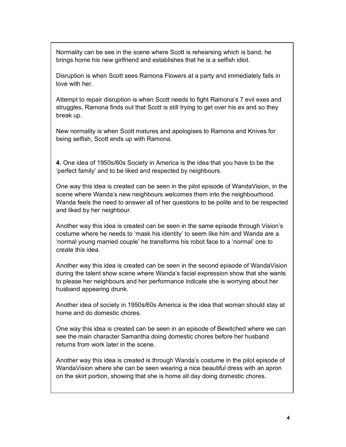Normality can be see in the scene where Scott is rehearsing which is band, he brings home his new girlfriend and establishes that he is a selfish idiot.

Disruption is when Scott sees Ramona Flowers at a party and immediately falls in love with her.

Attempt to repair disruption is when Scott needs to fight Ramona's 7 evil exes and struggles, Ramona finds out that Scott is still trying to get over his ex and so they break up.

New normality is when Scott matures and apologises to Ramona and Knives for being selfish, Scott ends up with Ramona.

**4.** One idea of 1950s/60s Society in America is the idea that you have to be the 'perfect family' and to be liked and respected by neighbours.

One way this idea is created can be seen in the pilot episode of WandaVision, in the scene where Wanda's new neighbours welcomes them into the neighbourhood. Wanda feels the need to answer all of her questions to be polite and to be respected and liked by her neighbour.

Another way this idea is created can be seen in the same episode through Vision's costume where he needs to 'mask his identity' to seem like him and Wanda are a 'normal young married couple' he transforms his robot face to a 'normal' one to create this idea.

Another way this idea is created can be seen in the second episode of WandaVision during the talent show scene where Wanda's facial expression show that she wants to please her neighbours and her performance indicate she is worrying about her husband appearing drunk.

Another idea of society in 1950s/60s America is the idea that woman should stay at home and do domestic chores.

One way this idea is created can be seen in an episode of Bewitched where we can see the main character Samantha doing domestic chores before her husband returns from work later in the scene.

Another way this idea is created is through Wanda's costume in the pilot episode of WandaVision where she can be seen wearing a nice beautiful dress with an apron on the skirt portion, showing that she is home all day doing domestic chores.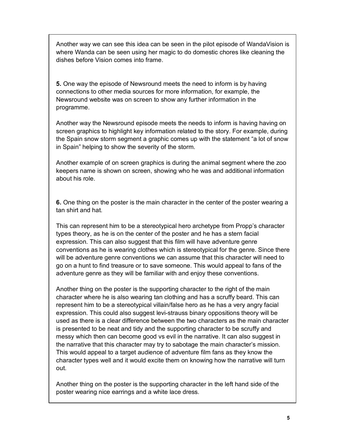Another way we can see this idea can be seen in the pilot episode of WandaVision is where Wanda can be seen using her magic to do domestic chores like cleaning the dishes before Vision comes into frame.

**5.** One way the episode of Newsround meets the need to inform is by having connections to other media sources for more information, for example, the Newsround website was on screen to show any further information in the programme.

Another way the Newsround episode meets the needs to inform is having having on screen graphics to highlight key information related to the story. For example, during the Spain snow storm segment a graphic comes up with the statement "a lot of snow in Spain" helping to show the severity of the storm.

Another example of on screen graphics is during the animal segment where the zoo keepers name is shown on screen, showing who he was and additional information about his role.

**6.** One thing on the poster is the main character in the center of the poster wearing a tan shirt and hat.

This can represent him to be a stereotypical hero archetype from Propp's character types theory, as he is on the center of the poster and he has a stern facial expression. This can also suggest that this film will have adventure genre conventions as he is wearing clothes which is stereotypical for the genre. Since there will be adventure genre conventions we can assume that this character will need to go on a hunt to find treasure or to save someone. This would appeal to fans of the adventure genre as they will be familiar with and enjoy these conventions.

Another thing on the poster is the supporting character to the right of the main character where he is also wearing tan clothing and has a scruffy beard. This can represent him to be a stereotypical villain/false hero as he has a very angry facial expression. This could also suggest levi-strauss binary oppositions theory will be used as there is a clear difference between the two characters as the main character is presented to be neat and tidy and the supporting character to be scruffy and messy which then can become good vs evil in the narrative. It can also suggest in the narrative that this character may try to sabotage the main character's mission. This would appeal to a target audience of adventure film fans as they know the character types well and it would excite them on knowing how the narrative will turn out.

Another thing on the poster is the supporting character in the left hand side of the poster wearing nice earrings and a white lace dress.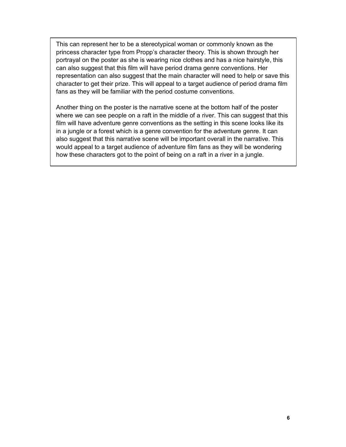This can represent her to be a stereotypical woman or commonly known as the princess character type from Propp's character theory. This is shown through her portrayal on the poster as she is wearing nice clothes and has a nice hairstyle, this can also suggest that this film will have period drama genre conventions. Her representation can also suggest that the main character will need to help or save this character to get their prize. This will appeal to a target audience of period drama film fans as they will be familiar with the period costume conventions.

Another thing on the poster is the narrative scene at the bottom half of the poster where we can see people on a raft in the middle of a river. This can suggest that this film will have adventure genre conventions as the setting in this scene looks like its in a jungle or a forest which is a genre convention for the adventure genre. It can also suggest that this narrative scene will be important overall in the narrative. This would appeal to a target audience of adventure film fans as they will be wondering how these characters got to the point of being on a raft in a river in a jungle.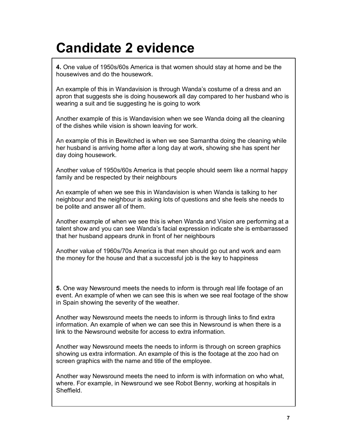## **Candidate 2 evidence**

**4.** One value of 1950s/60s America is that women should stay at home and be the housewives and do the housework.

An example of this in Wandavision is through Wanda's costume of a dress and an apron that suggests she is doing housework all day compared to her husband who is wearing a suit and tie suggesting he is going to work

Another example of this is Wandavision when we see Wanda doing all the cleaning of the dishes while vision is shown leaving for work.

An example of this in Bewitched is when we see Samantha doing the cleaning while her husband is arriving home after a long day at work, showing she has spent her day doing housework.

Another value of 1950s/60s America is that people should seem like a normal happy family and be respected by their neighbours

An example of when we see this in Wandavision is when Wanda is talking to her neighbour and the neighbour is asking lots of questions and she feels she needs to be polite and answer all of them.

Another example of when we see this is when Wanda and Vision are performing at a talent show and you can see Wanda's facial expression indicate she is embarrassed that her husband appears drunk in front of her neighbours

Another value of 1960s/70s America is that men should go out and work and earn the money for the house and that a successful job is the key to happiness

**5.** One way Newsround meets the needs to inform is through real life footage of an event. An example of when we can see this is when we see real footage of the show in Spain showing the severity of the weather.

Another way Newsround meets the needs to inform is through links to find extra information. An example of when we can see this in Newsround is when there is a link to the Newsround website for access to extra information.

Another way Newsround meets the needs to inform is through on screen graphics showing us extra information. An example of this is the footage at the zoo had on screen graphics with the name and title of the employee.

Another way Newsround meets the need to inform is with information on who what, where. For example, in Newsround we see Robot Benny, working at hospitals in **Sheffield**